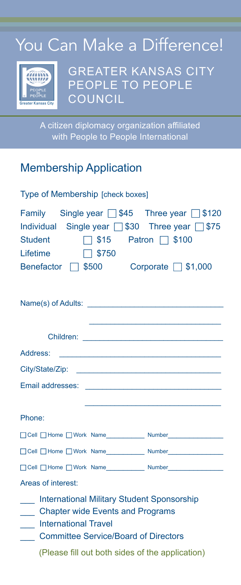# You Can Make a Difference!



GREATER KANSAS CITY PEOPLE TO PEOPLE **COUNCIL** 

A citizen diplomacy organization affiliated with People to People International

## Membership Application

| Type of Membership [check boxes]                                                                                                                                                                                                             |  |
|----------------------------------------------------------------------------------------------------------------------------------------------------------------------------------------------------------------------------------------------|--|
| Family Single year $\Box$ \$45 Three year $\Box$ \$120<br>Individual Single year 1\$30 Three year 1\$75<br>$\Box$ \$15 Patron $\Box$ \$100<br>Student<br>Lifetime<br>$\sqrt{5750}$<br>Benefactor $\Box$ \$500 Corporate $\Box$ \$1,000       |  |
|                                                                                                                                                                                                                                              |  |
|                                                                                                                                                                                                                                              |  |
| Address:                                                                                                                                                                                                                                     |  |
|                                                                                                                                                                                                                                              |  |
|                                                                                                                                                                                                                                              |  |
|                                                                                                                                                                                                                                              |  |
| Phone:                                                                                                                                                                                                                                       |  |
|                                                                                                                                                                                                                                              |  |
|                                                                                                                                                                                                                                              |  |
| □ Cell □ Home □ Work Name Number Number Number Number Number Number Number Number Number Number Number Number Number Number Number Number Number Number Number Number Number Number Number Number Number Number Number Number                |  |
| Areas of interest:                                                                                                                                                                                                                           |  |
| <b>International Military Student Sponsorship</b><br>$\overline{\phantom{a}}$<br>___ Chapter wide Events and Programs<br>___ International Travel<br>Committee Service/Board of Directors<br>(Please fill out both sides of the application) |  |
|                                                                                                                                                                                                                                              |  |